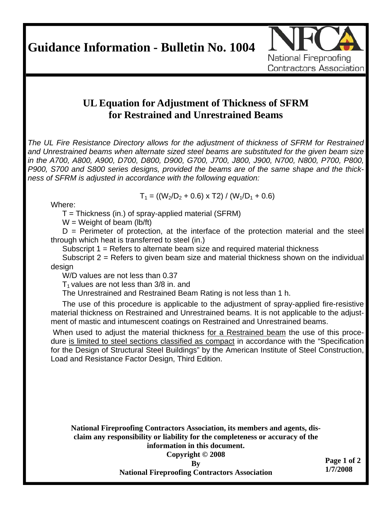**Guidance Information - Bulletin No. 1004** 



## **UL Equation for Adjustment of Thickness of SFRM for Restrained and Unrestrained Beams**

*The UL Fire Resistance Directory allows for the adjustment of thickness of SFRM for Restrained and Unrestrained beams when alternate sized steel beams are substituted for the given beam size in the A700, A800, A900, D700, D800, D900, G700, J700, J800, J900, N700, N800, P700, P800, P900, S700 and S800 series designs, provided the beams are of the same shape and the thickness of SFRM is adjusted in accordance with the following equation:* 

Where:

 $T_1$  = ((W<sub>2</sub>/D<sub>2</sub> + 0.6) x T2) / (W<sub>1</sub>/D<sub>1</sub> + 0.6)

 $T = Thickness (in.)$  of spray-applied material (SFRM)

 $W = Weight of beam (lb/ft)$ 

 $D =$  Perimeter of protection, at the interface of the protection material and the steel through which heat is transferred to steel (in.)

Subscript 1 = Refers to alternate beam size and required material thickness

Subscript 2 = Refers to given beam size and material thickness shown on the individual design

W/D values are not less than 0.37

 $T_1$  values are not less than 3/8 in. and

The Unrestrained and Restrained Beam Rating is not less than 1 h.

The use of this procedure is applicable to the adjustment of spray-applied fire-resistive material thickness on Restrained and Unrestrained beams. It is not applicable to the adjustment of mastic and intumescent coatings on Restrained and Unrestrained beams.

 When used to adjust the material thickness for a Restrained beam the use of this procedure is limited to steel sections classified as compact in accordance with the "Specification for the Design of Structural Steel Buildings" by the American Institute of Steel Construction, Load and Resistance Factor Design, Third Edition.

**National Fireproofing Contractors Association, its members and agents, disclaim any responsibility or liability for the completeness or accuracy of the information in this document.** 

**Copyright © 2008** 

**By National Fireproofing Contractors Association**  **Page 1 of 2 1/7/2008**